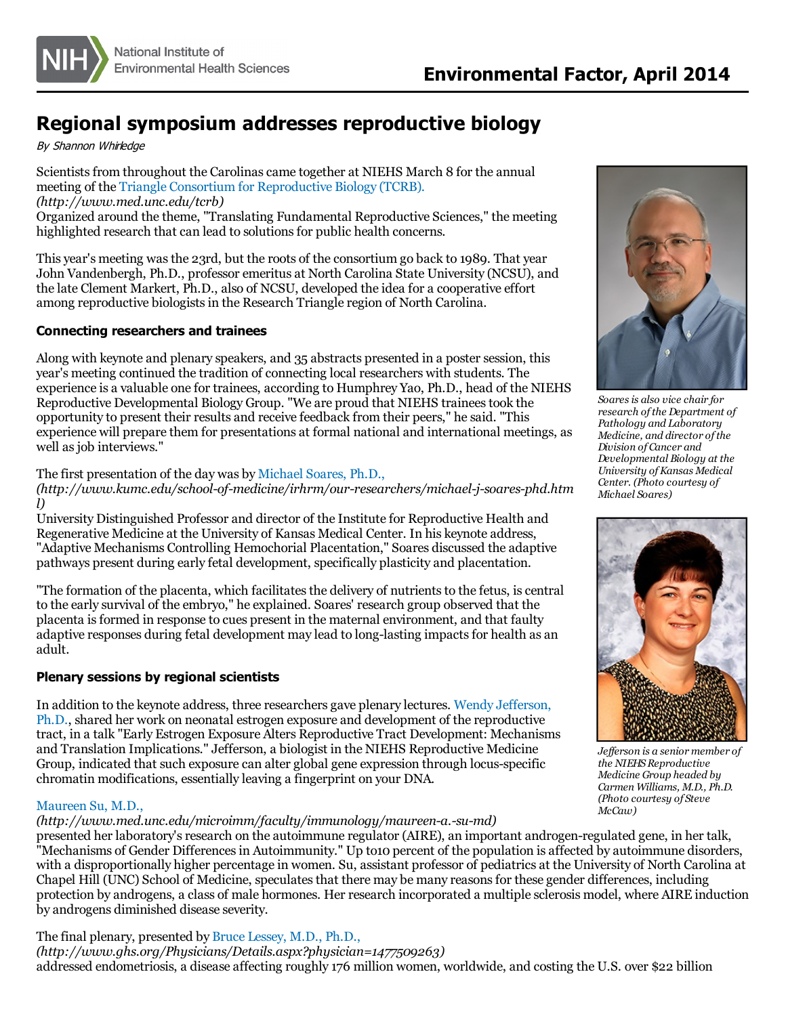

# **Regional symposium addresses reproductive biology**

By Shannon Whirledge

Scientists from throughout the Carolinas came together at NIEHS March 8 for the annual meeting of the Triangle Consortium for [Reproductive](http://www.med.unc.edu/tcrb) Biology (TCRB). *(http://www.med.unc.edu/tcrb)* Organized around the theme, "Translating Fundamental Reproductive Sciences," the meeting

highlighted research that can lead to solutions for public health concerns.

This year's meeting wasthe 23rd, but the roots of the consortium go back to 1989. That year John Vandenbergh, Ph.D., professor emeritus at North Carolina State University (NCSU), and the late Clement Markert, Ph.D., also of NCSU, developed the idea for a cooperative effort among reproductive biologists in the Research Triangle region of North Carolina.

## **Connecting researchers and trainees**

Along with keynote and plenary speakers, and 35 abstracts presented in a poster session, this year's meeting continued the tradition of connecting local researchers with students. The experience is a valuable one for trainees, according to Humphrey Yao, Ph.D., head of the NIEHS Reproductive Developmental Biology Group. "We are proud that NIEHS traineestook the opportunity to present their results and receive feedback from their peers," he said. "This experience will prepare them for presentations at formal national and international meetings, as well as job interviews."

The first presentation of the day was by [Michael](http://www.kumc.edu/school-of-medicine/irhrm/our-researchers/michael-j-soares-phd.html) Soares, Ph.D.,

*(http://www.kumc.edu/school-of-medicine/irhrm/our-researchers/michael-j-soares-phd.htm l)*

University Distinguished Professor and director of the Institute for Reproductive Health and Regenerative Medicine at the University of Kansas Medical Center. In his keynote address, "Adaptive Mechanisms Controlling Hemochorial Placentation," Soares discussed the adaptive pathways present during early fetal development, specifically plasticity and placentation.

"The formation of the placenta, which facilitatesthe delivery of nutrientsto the fetus, iscentral to the early survival of the embryo," he explained. Soares' research group observed that the placenta isformed in response to cues present in the maternal environment, and that faulty adaptive responses during fetal development may lead to long-lasting impacts for health as an adult.

#### **Plenary sessions by regional scientists**

In addition to the keynote address, three [researchers](http://www.niehs.nih.gov/research/atniehs/labs/lrdt/reproductive/staff/index.cfm) gave plenary lectures. Wendy Jefferson, Ph.D., shared her work on neonatal estrogen exposure and development of the reproductive tract, in a talk "Early Estrogen Exposure Alters Reproductive Tract Development: Mechanisms and Translation Implications." Jefferson, a biologist in the NIEHS Reproductive Medicine Group, indicated that such exposure can alter global gene expression through locus-specific chromatin modifications, essentially leaving a fingerprint on your DNA.

#### [Maureen](http://www.med.unc.edu/microimm/faculty/immunology/maureen-a.-su-md) Su, M.D.,

*(http://www.med.unc.edu/microimm/faculty/immunology/maureen-a.-su-md)*

presented her laboratory's research on the autoimmune regulator (AIRE), an important androgen-regulated gene, in her talk, "Mechanisms of Gender Differences in Autoimmunity." Up to10 percent of the population is affected by autoimmune disorders, with a disproportionally higher percentage in women. Su, assistant professor of pediatrics at the University of North Carolina at Chapel Hill (UNC) School of Medicine, speculates that there may be many reasons for these gender differences, including protection by androgens, a class of male hormones. Her research incorporated a multiple sclerosis model, where AIRE induction by androgens diminished disease severity.

The final plenary, presented by Bruce [Lessey,](http://www.ghs.org/Physicians/Details.aspx?physician=1477509263) M.D., Ph.D.,

*(http://www.ghs.org/Physicians/Details.aspx?physician=1477509263)* addressed endometriosis, a disease affecting roughly 176 million women, worldwide, and costing the U.S. over \$22 billion



*Soaresis also vice chair for research ofthe Department of Pathology and Laboratory Medicine, and director ofthe Division of Cancer and Developmental Biology at the University ofKansas Medical Center. (Photo courtesy of Michael Soares)*



*Jef erson is a senior member of the NIEHSReproductive Medicine Group headed by Carmen Williams, M.D., Ph.D. (Photo courtesy of Steve McCaw)*